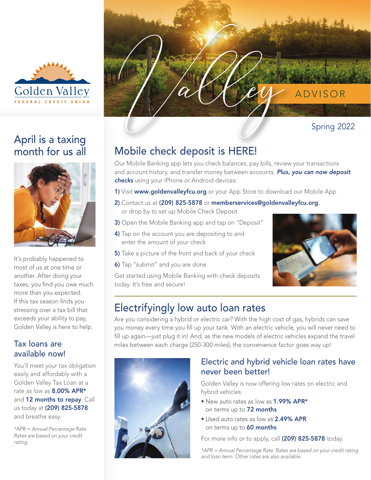

# April is a taxing month for us all



It's probably happened to most of us at one time or another. After doing your taxes, you find you owe much more than you expected. If this tax season finds you stressing over a tax bill that exceeds your ability to pay, Golden Valley is here to help.

### Tax loans are available now!

You'll meet your tax obligation easily and affordably with a Golden Valley Tax Loan at a rate as low as 8.00% APR\* and 12 months to repay. Call us today at (209) 825-5878 and breathe easy.

*\*APR = Annual Percentage Rate. Rates are based on your credit rating.*



# Mobile check deposit is HERE!

Our Mobile Banking app lets you check balances, pay bills, review your transactions and account history, and transfer money between accounts. *Plus, you can now deposit checks* using your iPhone or Android devices:

- 1) Visit www.goldenvalleyfcu.org or your App Store to download our Mobile App
- 2) Contact us at (209) 825-5878 or memberservices@goldenvalleyfcu.org, or drop by to set up Mobile Check Deposit
- 3) Open the Mobile Banking app and tap on "Deposit"
- 4) Tap on the account you are depositing to and enter the amount of your check
- 5) Take a picture of the front and back of your check
- 6) Tap "submit" and you are done

Get started using Mobile Banking with check deposits today. It's free and secure!



## Electrifyingly low auto loan rates

Are you considering a hybrid or electric car? With the high cost of gas, hybrids can save you money every time you fill up your tank. With an electric vehicle, you will never need to fill up again—just plug it in! And, as the new models of electric vehicles expand the travel miles between each charge (250-300 miles), the convenience factor goes way up!



### Electric and hybrid vehicle loan rates have never been better!

Golden Valley is now offering low rates on electric and hybrid vehicles:

- New auto rates as low as 1.99% APR\* on terms up to 72 months
- Used auto rates as low as 2.49% APR on terms up to 60 months

For more info or to apply, call (209) 825-5878 today.

*\*APR = Annual Percentage Rate. Rates are based on your credit rating and loan term. Other rates are also available.*